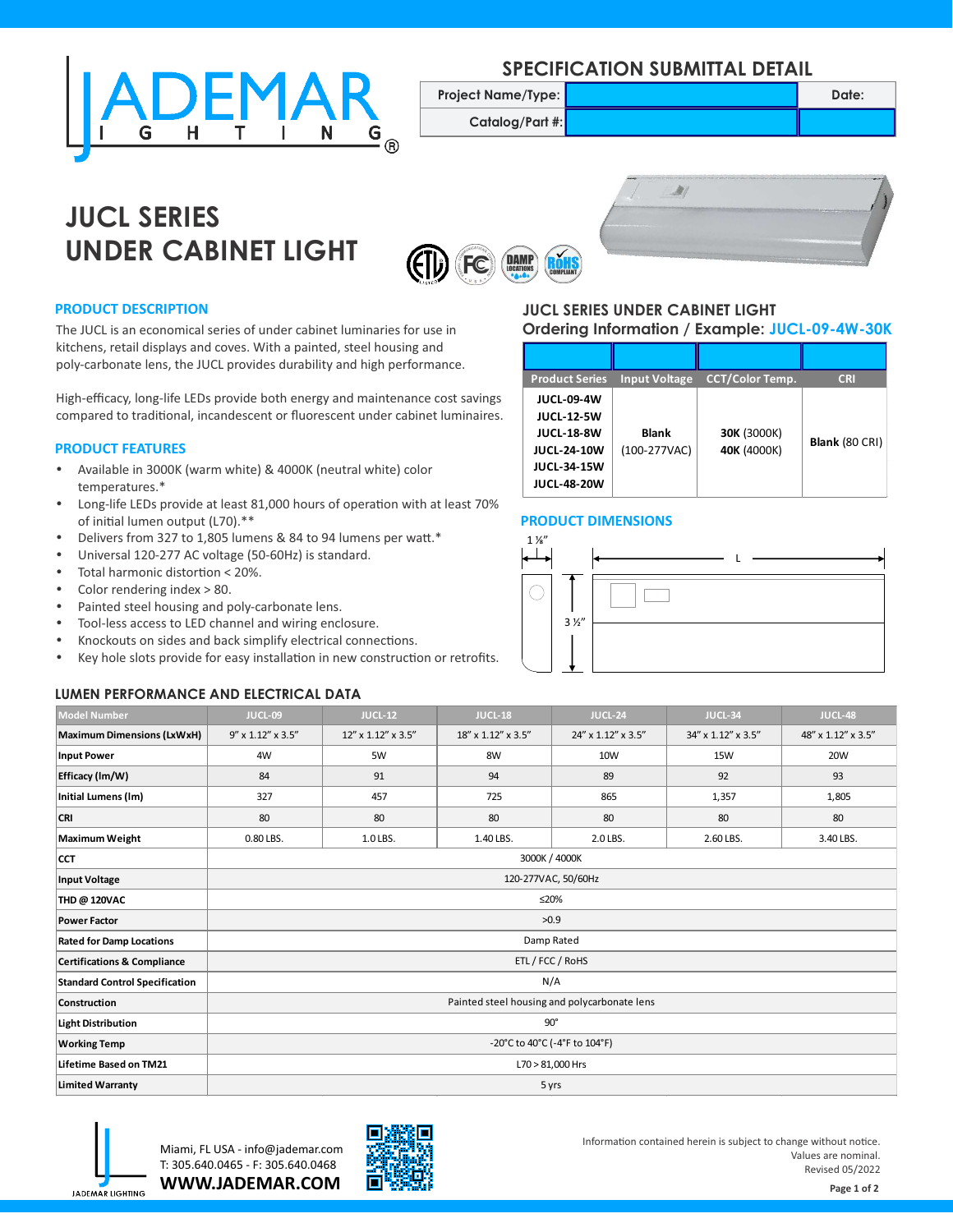

### **SPECIFICATION SUBMITTAL DETAIL**

**Project Name/Type: Date: Date: Date: Date:** 

**Catalog/Part #:**



# **JUCL SERIES UNDER CABINET LIGHT**





#### **PRODUCT DESCRIPTION**

The JUCL is an economical series of under cabinet luminaries for use in kitchens, retail displays and coves. With a painted, steel housing and poly-carbonate lens, the JUCL provides durability and high performance.

High-efficacy, long-life LEDs provide both energy and maintenance cost savings compared to traditional, incandescent or fluorescent under cabinet luminaires.

#### **PRODUCT FEATURES**

- Available in 3000K (warm white) & 4000K (neutral white) color temperatures.\*
- Long-life LEDs provide at least 81,000 hours of operation with at least 70% of initial lumen output (L70).\*\*
- Delivers from 327 to 1,805 lumens & 84 to 94 lumens per watt.\*
- Universal 120-277 AC voltage (50-60Hz) is standard.
- Total harmonic distortion  $<$  20%.
- Color rendering index  $> 80$ .
- Painted steel housing and poly-carbonate lens.
- Tool-less access to LED channel and wiring enclosure.
- Knockouts on sides and back simplify electrical connections.
- Key hole slots provide for easy installation in new construction or retrofits.

#### **LUMEN PERFORMANCE AND ELECTRICAL DATA**

#### **JUCL SERIES UNDER CABINET LIGHT Ordering Information / Example: JUCL-09-4W-30K**

| <b>Product Series</b>                                                                                                         | <b>Input Voltage</b>           | <b>CCT/Color Temp.</b>            | <b>CRI</b>     |
|-------------------------------------------------------------------------------------------------------------------------------|--------------------------------|-----------------------------------|----------------|
| <b>JUCL-09-4W</b><br><b>JUCL-12-5W</b><br><b>JUCL-18-8W</b><br><b>JUCL-24-10W</b><br><b>JUCL-34-15W</b><br><b>JUCL-48-20W</b> | <b>Blank</b><br>$(100-277VAC)$ | <b>30K (3000K)</b><br>40K (4000K) | Blank (80 CRI) |

#### **PRODUCT DIMENSIONS**



| <b>Model Number</b>                    | JUCL-09                                      | <b>JUCL-12</b>              | JUCL-18            | JUCL-24            | JUCL-34            | JUCL-48            |  |  |
|----------------------------------------|----------------------------------------------|-----------------------------|--------------------|--------------------|--------------------|--------------------|--|--|
| <b>Maximum Dimensions (LxWxH)</b>      | $9'' \times 1.12'' \times 3.5''$             | $12''$ x $1.12''$ x $3.5''$ | 18" x 1.12" x 3.5" | 24" x 1.12" x 3.5" | 34" x 1.12" x 3.5" | 48" x 1.12" x 3.5" |  |  |
| <b>Input Power</b>                     | 4W                                           | 5W                          | 8W                 | 10W                | <b>15W</b>         | 20W                |  |  |
| Efficacy (lm/W)                        | 84                                           | 91                          | 94                 | 89                 | 92                 | 93                 |  |  |
| Initial Lumens (lm)                    | 327                                          | 457                         | 725                | 865                | 1,357              | 1,805              |  |  |
| <b>CRI</b>                             | 80                                           | 80                          | 80                 | 80                 | 80                 | 80                 |  |  |
| Maximum Weight                         | 0.80 LBS.                                    | 1.0 LBS.                    | 1.40 LBS.          | 2.0 LBS.           | 2.60 LBS.          | 3.40 LBS.          |  |  |
| <b>CCT</b>                             | 3000K / 4000K                                |                             |                    |                    |                    |                    |  |  |
| Input Voltage                          | 120-277VAC, 50/60Hz                          |                             |                    |                    |                    |                    |  |  |
| <b>THD @ 120VAC</b>                    | ≤20%                                         |                             |                    |                    |                    |                    |  |  |
| <b>Power Factor</b>                    | >0.9                                         |                             |                    |                    |                    |                    |  |  |
| <b>Rated for Damp Locations</b>        | Damp Rated                                   |                             |                    |                    |                    |                    |  |  |
| <b>Certifications &amp; Compliance</b> | ETL / FCC / RoHS                             |                             |                    |                    |                    |                    |  |  |
| <b>Standard Control Specification</b>  | N/A                                          |                             |                    |                    |                    |                    |  |  |
| <b>Construction</b>                    | Painted steel housing and polycarbonate lens |                             |                    |                    |                    |                    |  |  |
| Light Distribution                     | $90^\circ$                                   |                             |                    |                    |                    |                    |  |  |
| <b>Working Temp</b>                    | -20°C to 40°C (-4°F to 104°F)                |                             |                    |                    |                    |                    |  |  |
| Lifetime Based on TM21                 | L70 > 81,000 Hrs                             |                             |                    |                    |                    |                    |  |  |
| <b>Limited Warranty</b>                | 5 yrs                                        |                             |                    |                    |                    |                    |  |  |



**WWW.JADEMAR.COM** Miami, FL USA - info@jademar.com T: 305.640.0465 - F: 305.640.0468



Information contained herein is subject to change without notice. Values are nominal. Revised 05/2022